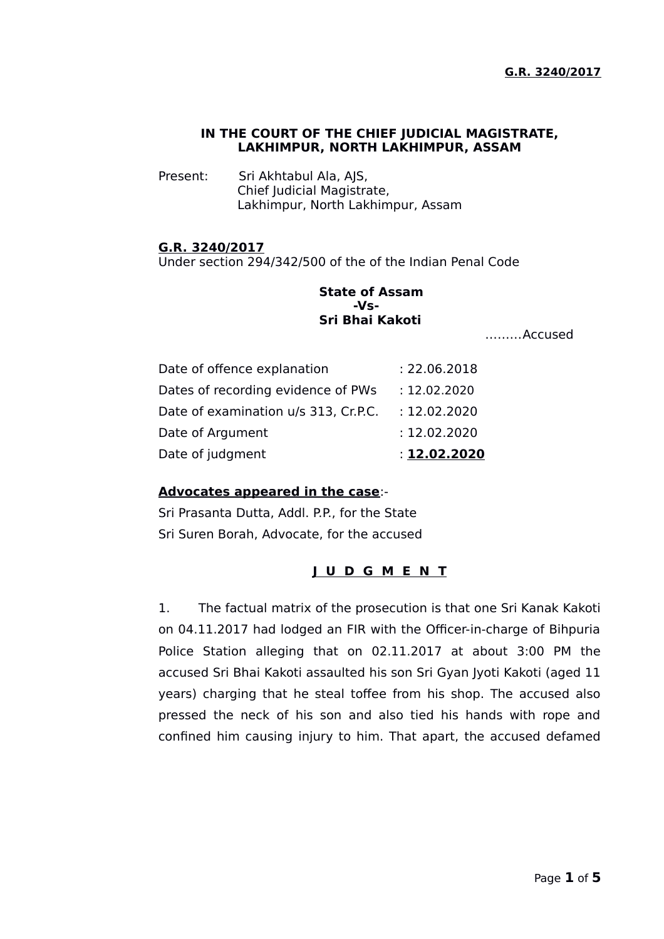### **IN THE COURT OF THE CHIEF JUDICIAL MAGISTRATE, LAKHIMPUR, NORTH LAKHIMPUR, ASSAM**

Present: Sri Akhtabul Ala, AJS, Chief Judicial Magistrate, Lakhimpur, North Lakhimpur, Assam

### **G.R. 3240/2017**

Under section 294/342/500 of the of the Indian Penal Code

## **State of Assam -Vs-Sri Bhai Kakoti**

………Accused

| Date of judgment                     | : 12.02.2020 |
|--------------------------------------|--------------|
| Date of Argument                     | : 12.02.2020 |
| Date of examination u/s 313, Cr.P.C. | : 12.02.2020 |
| Dates of recording evidence of PWs   | : 12.02.2020 |
| Date of offence explanation          | : 22.06.2018 |

#### **Advocates appeared in the case**:-

Sri Prasanta Dutta, Addl. P.P., for the State Sri Suren Borah, Advocate, for the accused

# **J U D G M E N T**

1. The factual matrix of the prosecution is that one Sri Kanak Kakoti on 04.11.2017 had lodged an FIR with the Officer-in-charge of Bihpuria Police Station alleging that on 02.11.2017 at about 3:00 PM the accused Sri Bhai Kakoti assaulted his son Sri Gyan Jyoti Kakoti (aged 11 years) charging that he steal toffee from his shop. The accused also pressed the neck of his son and also tied his hands with rope and confined him causing injury to him. That apart, the accused defamed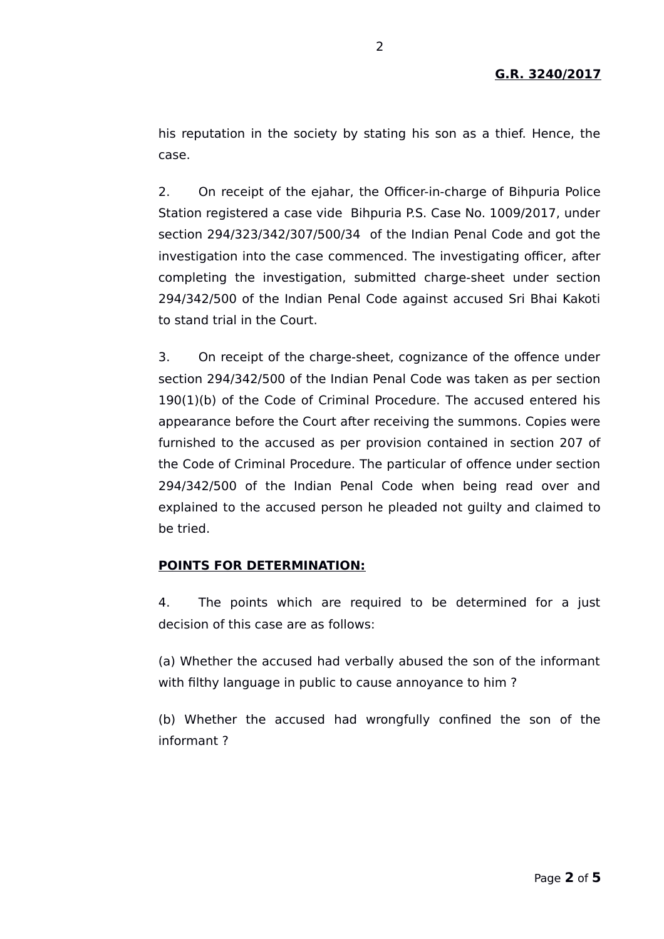his reputation in the society by stating his son as a thief. Hence, the case.

2. On receipt of the ejahar, the Officer-in-charge of Bihpuria Police Station registered a case vide Bihpuria P.S. Case No. 1009/2017, under section 294/323/342/307/500/34 of the Indian Penal Code and got the investigation into the case commenced. The investigating officer, after completing the investigation, submitted charge-sheet under section 294/342/500 of the Indian Penal Code against accused Sri Bhai Kakoti to stand trial in the Court.

3. On receipt of the charge-sheet, cognizance of the offence under section 294/342/500 of the Indian Penal Code was taken as per section 190(1)(b) of the Code of Criminal Procedure. The accused entered his appearance before the Court after receiving the summons. Copies were furnished to the accused as per provision contained in section 207 of the Code of Criminal Procedure. The particular of offence under section 294/342/500 of the Indian Penal Code when being read over and explained to the accused person he pleaded not guilty and claimed to be tried.

#### **POINTS FOR DETERMINATION:**

4. The points which are required to be determined for a just decision of this case are as follows:

(a) Whether the accused had verbally abused the son of the informant with filthy language in public to cause annoyance to him ?

(b) Whether the accused had wrongfully confined the son of the informant ?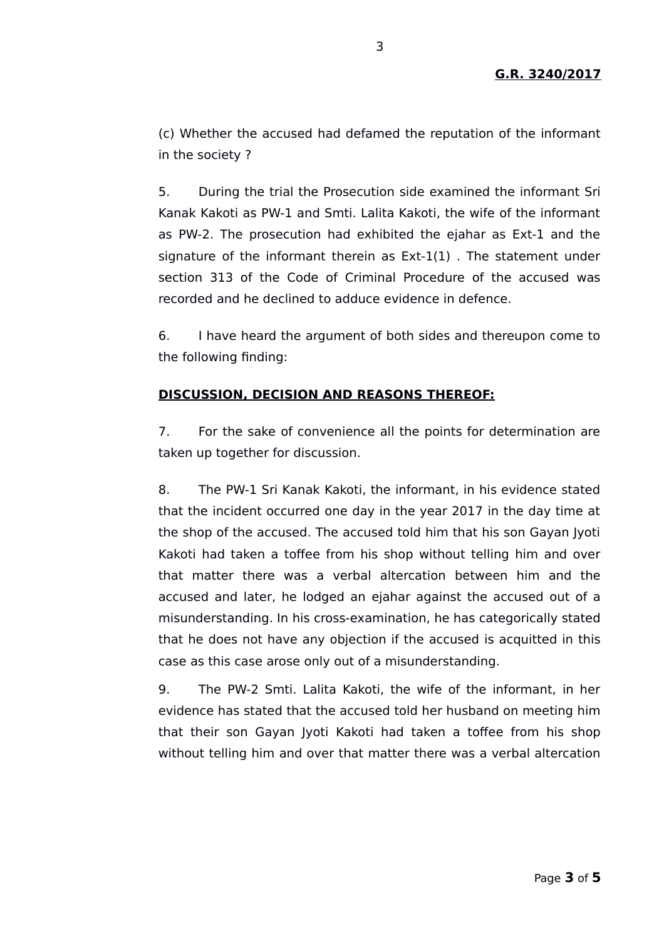(c) Whether the accused had defamed the reputation of the informant in the society ?

5. During the trial the Prosecution side examined the informant Sri Kanak Kakoti as PW-1 and Smti. Lalita Kakoti, the wife of the informant as PW-2. The prosecution had exhibited the ejahar as Ext-1 and the signature of the informant therein as Ext-1(1) . The statement under section 313 of the Code of Criminal Procedure of the accused was recorded and he declined to adduce evidence in defence.

6. I have heard the argument of both sides and thereupon come to the following finding:

## **DISCUSSION, DECISION AND REASONS THEREOF:**

7. For the sake of convenience all the points for determination are taken up together for discussion.

8. The PW-1 Sri Kanak Kakoti, the informant, in his evidence stated that the incident occurred one day in the year 2017 in the day time at the shop of the accused. The accused told him that his son Gayan Jyoti Kakoti had taken a toffee from his shop without telling him and over that matter there was a verbal altercation between him and the accused and later, he lodged an ejahar against the accused out of a misunderstanding. In his cross-examination, he has categorically stated that he does not have any objection if the accused is acquitted in this case as this case arose only out of a misunderstanding.

9. The PW-2 Smti. Lalita Kakoti, the wife of the informant, in her evidence has stated that the accused told her husband on meeting him that their son Gayan Jyoti Kakoti had taken a toffee from his shop without telling him and over that matter there was a verbal altercation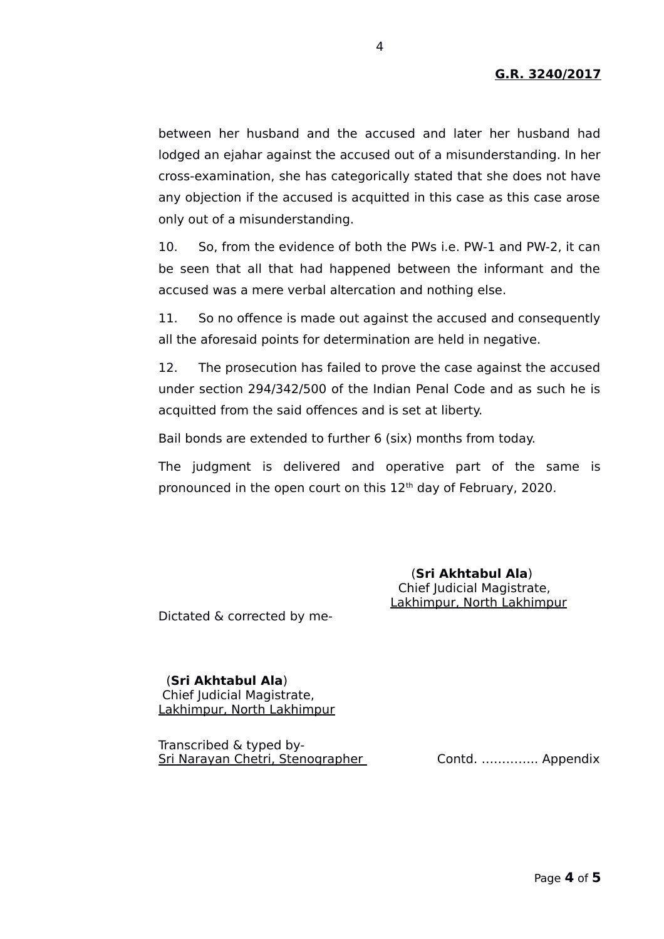between her husband and the accused and later her husband had lodged an ejahar against the accused out of a misunderstanding. In her cross-examination, she has categorically stated that she does not have any objection if the accused is acquitted in this case as this case arose only out of a misunderstanding.

10. So, from the evidence of both the PWs i.e. PW-1 and PW-2, it can be seen that all that had happened between the informant and the accused was a mere verbal altercation and nothing else.

11. So no offence is made out against the accused and consequently all the aforesaid points for determination are held in negative.

12. The prosecution has failed to prove the case against the accused under section 294/342/500 of the Indian Penal Code and as such he is acquitted from the said offences and is set at liberty.

Bail bonds are extended to further 6 (six) months from today.

The judgment is delivered and operative part of the same is pronounced in the open court on this 12<sup>th</sup> day of February, 2020.

> (**Sri Akhtabul Ala**) Chief Judicial Magistrate, Lakhimpur, North Lakhimpur

Dictated & corrected by me-

 (**Sri Akhtabul Ala**) Chief Judicial Magistrate, Lakhimpur, North Lakhimpur

Transcribed & typed by-Sri Narayan Chetri, Stenographer Contd. ………….. Appendix